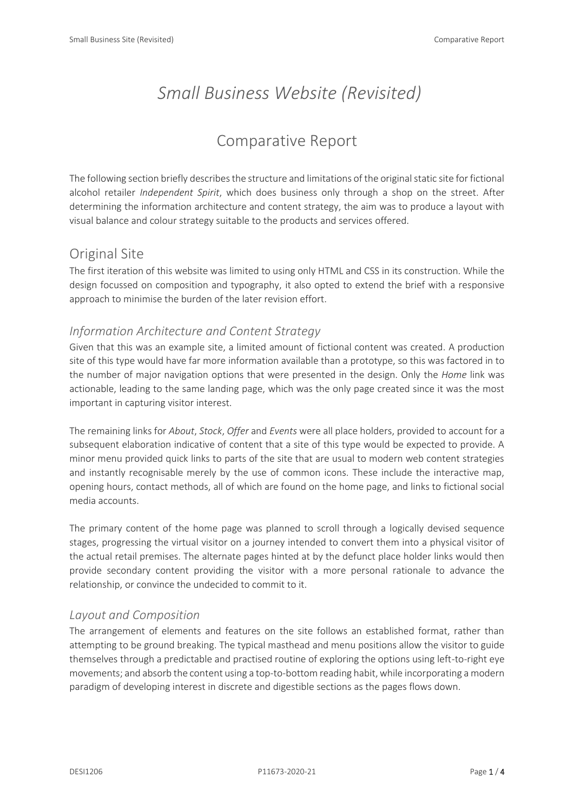# *Small Business Website (Revisited)*

# Comparative Report

The following section briefly describes the structure and limitations of the original static site for fictional alcohol retailer *Independent Spirit*, which does business only through a shop on the street. After determining the information architecture and content strategy, the aim was to produce a layout with visual balance and colour strategy suitable to the products and services offered.

# Original Site

The first iteration of this website was limited to using only HTML and CSS in its construction. While the design focussed on composition and typography, it also opted to extend the brief with a responsive approach to minimise the burden of the later revision effort.

## *Information Architecture and Content Strategy*

Given that this was an example site, a limited amount of fictional content was created. A production site of this type would have far more information available than a prototype, so this was factored in to the number of major navigation options that were presented in the design. Only the *Home* link was actionable, leading to the same landing page, which was the only page created since it was the most important in capturing visitor interest.

The remaining links for *About*, *Stock*, *Offer* and *Events* were all place holders, provided to account for a subsequent elaboration indicative of content that a site of this type would be expected to provide. A minor menu provided quick links to parts of the site that are usual to modern web content strategies and instantly recognisable merely by the use of common icons. These include the interactive map, opening hours, contact methods, all of which are found on the home page, and links to fictional social media accounts.

The primary content of the home page was planned to scroll through a logically devised sequence stages, progressing the virtual visitor on a journey intended to convert them into a physical visitor of the actual retail premises. The alternate pages hinted at by the defunct place holder links would then provide secondary content providing the visitor with a more personal rationale to advance the relationship, or convince the undecided to commit to it.

### *Layout and Composition*

The arrangement of elements and features on the site follows an established format, rather than attempting to be ground breaking. The typical masthead and menu positions allow the visitor to guide themselves through a predictable and practised routine of exploring the options using left-to-right eye movements; and absorb the content using a top-to-bottom reading habit, while incorporating a modern paradigm of developing interest in discrete and digestible sections as the pages flows down.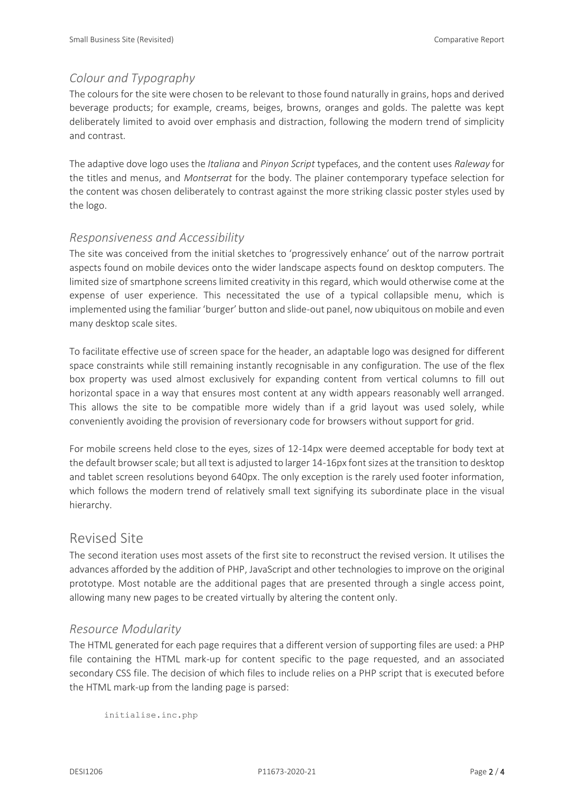#### *Colour and Typography*

The colours for the site were chosen to be relevant to those found naturally in grains, hops and derived beverage products; for example, creams, beiges, browns, oranges and golds. The palette was kept deliberately limited to avoid over emphasis and distraction, following the modern trend of simplicity and contrast.

The adaptive dove logo uses the *Italiana* and *Pinyon Script* typefaces, and the content uses *Raleway* for the titles and menus, and *Montserrat* for the body. The plainer contemporary typeface selection for the content was chosen deliberately to contrast against the more striking classic poster styles used by the logo.

#### *Responsiveness and Accessibility*

The site was conceived from the initial sketches to 'progressively enhance' out of the narrow portrait aspects found on mobile devices onto the wider landscape aspects found on desktop computers. The limited size of smartphone screens limited creativity in this regard, which would otherwise come at the expense of user experience. This necessitated the use of a typical collapsible menu, which is implemented using the familiar 'burger' button and slide-out panel, now ubiquitous on mobile and even many desktop scale sites.

To facilitate effective use of screen space for the header, an adaptable logo was designed for different space constraints while still remaining instantly recognisable in any configuration. The use of the flex box property was used almost exclusively for expanding content from vertical columns to fill out horizontal space in a way that ensures most content at any width appears reasonably well arranged. This allows the site to be compatible more widely than if a grid layout was used solely, while conveniently avoiding the provision of reversionary code for browsers without support for grid.

For mobile screens held close to the eyes, sizes of 12-14px were deemed acceptable for body text at the default browser scale; but all text is adjusted to larger 14-16px font sizes at the transition to desktop and tablet screen resolutions beyond 640px. The only exception is the rarely used footer information, which follows the modern trend of relatively small text signifying its subordinate place in the visual hierarchy.

#### Revised Site

The second iteration uses most assets of the first site to reconstruct the revised version. It utilises the advances afforded by the addition of PHP, JavaScript and other technologies to improve on the original prototype. Most notable are the additional pages that are presented through a single access point, allowing many new pages to be created virtually by altering the content only.

#### *Resource Modularity*

The HTML generated for each page requires that a different version of supporting files are used: a PHP file containing the HTML mark-up for content specific to the page requested, and an associated secondary CSS file. The decision of which files to include relies on a PHP script that is executed before the HTML mark-up from the landing page is parsed:

```
initialise.inc.php
```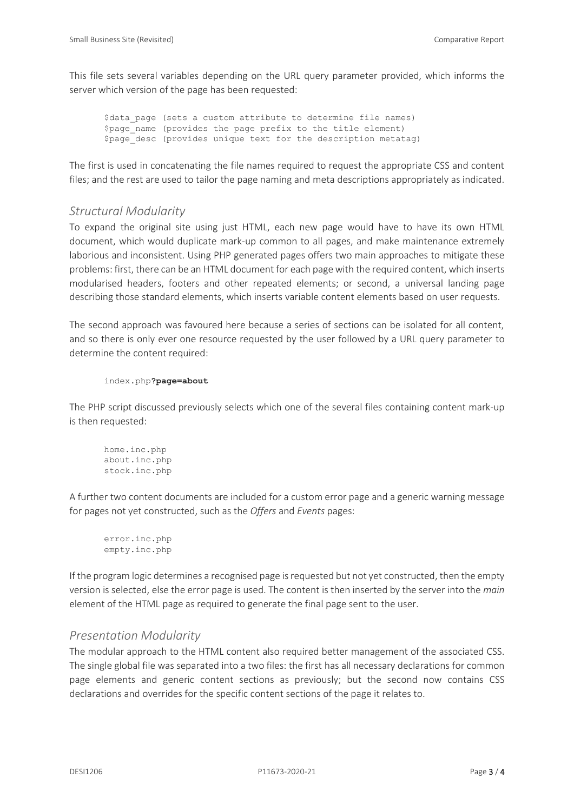This file sets several variables depending on the URL query parameter provided, which informs the server which version of the page has been requested:

\$data page (sets a custom attribute to determine file names) \$page name (provides the page prefix to the title element) \$page desc (provides unique text for the description metatag)

The first is used in concatenating the file names required to request the appropriate CSS and content files; and the rest are used to tailor the page naming and meta descriptions appropriately as indicated.

#### *Structural Modularity*

To expand the original site using just HTML, each new page would have to have its own HTML document, which would duplicate mark-up common to all pages, and make maintenance extremely laborious and inconsistent. Using PHP generated pages offers two main approaches to mitigate these problems: first, there can be an HTML document for each page with the required content, which inserts modularised headers, footers and other repeated elements; or second, a universal landing page describing those standard elements, which inserts variable content elements based on user requests.

The second approach was favoured here because a series of sections can be isolated for all content, and so there is only ever one resource requested by the user followed by a URL query parameter to determine the content required:

```
index.php?page=about
```
The PHP script discussed previously selects which one of the several files containing content mark-up is then requested:

```
home.inc.php
about.inc.php
stock.inc.php
```
A further two content documents are included for a custom error page and a generic warning message for pages not yet constructed, such as the *Offers* and *Events* pages:

```
error.inc.php
empty.inc.php
```
If the program logic determines a recognised page is requested but not yet constructed, then the empty version is selected, else the error page is used. The content is then inserted by the server into the *main* element of the HTML page as required to generate the final page sent to the user.

#### *Presentation Modularity*

The modular approach to the HTML content also required better management of the associated CSS. The single global file was separated into a two files: the first has all necessary declarations for common page elements and generic content sections as previously; but the second now contains CSS declarations and overrides for the specific content sections of the page it relates to.